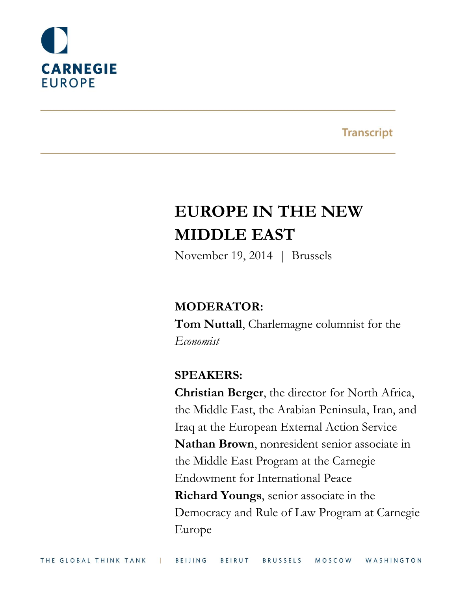

**Transcript** 

# **EUROPE IN THE NEW MIDDLE EAST**

November 19, 2014 | Brussels

# **MODERATOR:**

**Tom Nuttall**, Charlemagne columnist for the *Economist*

# **SPEAKERS:**

**Christian Berger**, the director for North Africa, the Middle East, the Arabian Peninsula, Iran, and Iraq at the European External Action Service **Nathan Brown**, nonresident senior associate in the Middle East Program at the Carnegie Endowment for International Peace **Richard Youngs**, senior associate in the Democracy and Rule of Law Program at Carnegie Europe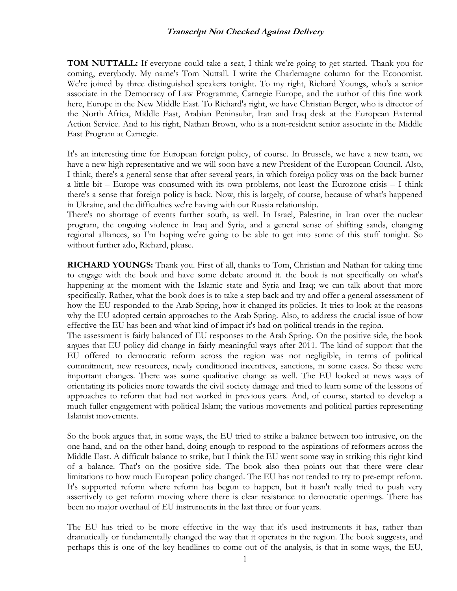**TOM NUTTALL:** If everyone could take a seat, I think we're going to get started. Thank you for coming, everybody. My name's Tom Nuttall. I write the Charlemagne column for the Economist. We're joined by three distinguished speakers tonight. To my right, Richard Youngs, who's a senior associate in the Democracy of Law Programme, Carnegie Europe, and the author of this fine work here, Europe in the New Middle East. To Richard's right, we have Christian Berger, who is director of the North Africa, Middle East, Arabian Peninsular, Iran and Iraq desk at the European External Action Service. And to his right, Nathan Brown, who is a non-resident senior associate in the Middle East Program at Carnegie.

It's an interesting time for European foreign policy, of course. In Brussels, we have a new team, we have a new high representative and we will soon have a new President of the European Council. Also, I think, there's a general sense that after several years, in which foreign policy was on the back burner a little bit – Europe was consumed with its own problems, not least the Eurozone crisis – I think there's a sense that foreign policy is back. Now, this is largely, of course, because of what's happened in Ukraine, and the difficulties we're having with our Russia relationship.

There's no shortage of events further south, as well. In Israel, Palestine, in Iran over the nuclear program, the ongoing violence in Iraq and Syria, and a general sense of shifting sands, changing regional alliances, so I'm hoping we're going to be able to get into some of this stuff tonight. So without further ado, Richard, please.

**RICHARD YOUNGS:** Thank you. First of all, thanks to Tom, Christian and Nathan for taking time to engage with the book and have some debate around it. the book is not specifically on what's happening at the moment with the Islamic state and Syria and Iraq; we can talk about that more specifically. Rather, what the book does is to take a step back and try and offer a general assessment of how the EU responded to the Arab Spring, how it changed its policies. It tries to look at the reasons why the EU adopted certain approaches to the Arab Spring. Also, to address the crucial issue of how effective the EU has been and what kind of impact it's had on political trends in the region.

The assessment is fairly balanced of EU responses to the Arab Spring. On the positive side, the book argues that EU policy did change in fairly meaningful ways after 2011. The kind of support that the EU offered to democratic reform across the region was not negligible, in terms of political commitment, new resources, newly conditioned incentives, sanctions, in some cases. So these were important changes. There was some qualitative change as well. The EU looked at news ways of orientating its policies more towards the civil society damage and tried to learn some of the lessons of approaches to reform that had not worked in previous years. And, of course, started to develop a much fuller engagement with political Islam; the various movements and political parties representing Islamist movements.

So the book argues that, in some ways, the EU tried to strike a balance between too intrusive, on the one hand, and on the other hand, doing enough to respond to the aspirations of reformers across the Middle East. A difficult balance to strike, but I think the EU went some way in striking this right kind of a balance. That's on the positive side. The book also then points out that there were clear limitations to how much European policy changed. The EU has not tended to try to pre-empt reform. It's supported reform where reform has begun to happen, but it hasn't really tried to push very assertively to get reform moving where there is clear resistance to democratic openings. There has been no major overhaul of EU instruments in the last three or four years.

The EU has tried to be more effective in the way that it's used instruments it has, rather than dramatically or fundamentally changed the way that it operates in the region. The book suggests, and perhaps this is one of the key headlines to come out of the analysis, is that in some ways, the EU,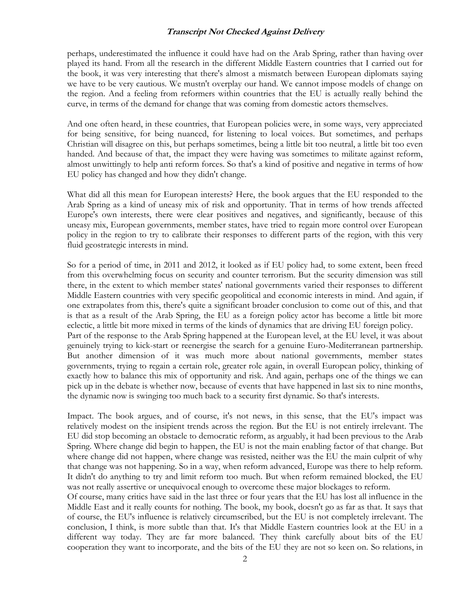perhaps, underestimated the influence it could have had on the Arab Spring, rather than having over played its hand. From all the research in the different Middle Eastern countries that I carried out for the book, it was very interesting that there's almost a mismatch between European diplomats saying we have to be very cautious. We mustn't overplay our hand. We cannot impose models of change on the region. And a feeling from reformers within countries that the EU is actually really behind the curve, in terms of the demand for change that was coming from domestic actors themselves.

And one often heard, in these countries, that European policies were, in some ways, very appreciated for being sensitive, for being nuanced, for listening to local voices. But sometimes, and perhaps Christian will disagree on this, but perhaps sometimes, being a little bit too neutral, a little bit too even handed. And because of that, the impact they were having was sometimes to militate against reform, almost unwittingly to help anti reform forces. So that's a kind of positive and negative in terms of how EU policy has changed and how they didn't change.

What did all this mean for European interests? Here, the book argues that the EU responded to the Arab Spring as a kind of uneasy mix of risk and opportunity. That in terms of how trends affected Europe's own interests, there were clear positives and negatives, and significantly, because of this uneasy mix, European governments, member states, have tried to regain more control over European policy in the region to try to calibrate their responses to different parts of the region, with this very fluid geostrategic interests in mind.

So for a period of time, in 2011 and 2012, it looked as if EU policy had, to some extent, been freed from this overwhelming focus on security and counter terrorism. But the security dimension was still there, in the extent to which member states' national governments varied their responses to different Middle Eastern countries with very specific geopolitical and economic interests in mind. And again, if one extrapolates from this, there's quite a significant broader conclusion to come out of this, and that is that as a result of the Arab Spring, the EU as a foreign policy actor has become a little bit more eclectic, a little bit more mixed in terms of the kinds of dynamics that are driving EU foreign policy. Part of the response to the Arab Spring happened at the European level, at the EU level, it was about genuinely trying to kick-start or reenergise the search for a genuine Euro-Mediterranean partnership. But another dimension of it was much more about national governments, member states governments, trying to regain a certain role, greater role again, in overall European policy, thinking of exactly how to balance this mix of opportunity and risk. And again, perhaps one of the things we can pick up in the debate is whether now, because of events that have happened in last six to nine months, the dynamic now is swinging too much back to a security first dynamic. So that's interests.

Impact. The book argues, and of course, it's not news, in this sense, that the EU's impact was relatively modest on the insipient trends across the region. But the EU is not entirely irrelevant. The EU did stop becoming an obstacle to democratic reform, as arguably, it had been previous to the Arab Spring. Where change did begin to happen, the EU is not the main enabling factor of that change. But where change did not happen, where change was resisted, neither was the EU the main culprit of why that change was not happening. So in a way, when reform advanced, Europe was there to help reform. It didn't do anything to try and limit reform too much. But when reform remained blocked, the EU was not really assertive or unequivocal enough to overcome these major blockages to reform.

Of course, many critics have said in the last three or four years that the EU has lost all influence in the Middle East and it really counts for nothing. The book, my book, doesn't go as far as that. It says that of course, the EU's influence is relatively circumscribed, but the EU is not completely irrelevant. The conclusion, I think, is more subtle than that. It's that Middle Eastern countries look at the EU in a different way today. They are far more balanced. They think carefully about bits of the EU cooperation they want to incorporate, and the bits of the EU they are not so keen on. So relations, in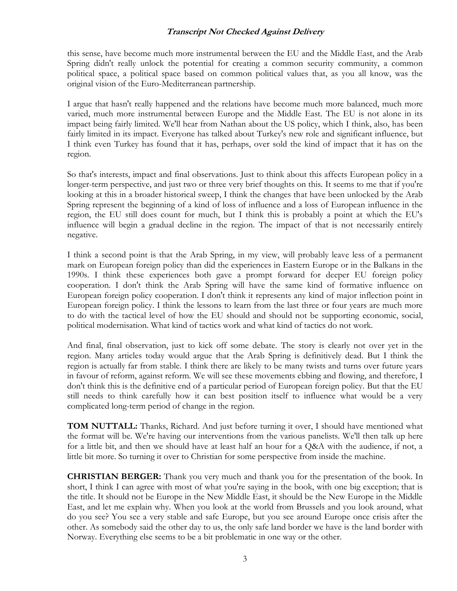this sense, have become much more instrumental between the EU and the Middle East, and the Arab Spring didn't really unlock the potential for creating a common security community, a common political space, a political space based on common political values that, as you all know, was the original vision of the Euro-Mediterranean partnership.

I argue that hasn't really happened and the relations have become much more balanced, much more varied, much more instrumental between Europe and the Middle East. The EU is not alone in its impact being fairly limited. We'll hear from Nathan about the US policy, which I think, also, has been fairly limited in its impact. Everyone has talked about Turkey's new role and significant influence, but I think even Turkey has found that it has, perhaps, over sold the kind of impact that it has on the region.

So that's interests, impact and final observations. Just to think about this affects European policy in a longer-term perspective, and just two or three very brief thoughts on this. It seems to me that if you're looking at this in a broader historical sweep, I think the changes that have been unlocked by the Arab Spring represent the beginning of a kind of loss of influence and a loss of European influence in the region, the EU still does count for much, but I think this is probably a point at which the EU's influence will begin a gradual decline in the region. The impact of that is not necessarily entirely negative.

I think a second point is that the Arab Spring, in my view, will probably leave less of a permanent mark on European foreign policy than did the experiences in Eastern Europe or in the Balkans in the 1990s. I think these experiences both gave a prompt forward for deeper EU foreign policy cooperation. I don't think the Arab Spring will have the same kind of formative influence on European foreign policy cooperation. I don't think it represents any kind of major inflection point in European foreign policy. I think the lessons to learn from the last three or four years are much more to do with the tactical level of how the EU should and should not be supporting economic, social, political modernisation. What kind of tactics work and what kind of tactics do not work.

And final, final observation, just to kick off some debate. The story is clearly not over yet in the region. Many articles today would argue that the Arab Spring is definitively dead. But I think the region is actually far from stable. I think there are likely to be many twists and turns over future years in favour of reform, against reform. We will see these movements ebbing and flowing, and therefore, I don't think this is the definitive end of a particular period of European foreign policy. But that the EU still needs to think carefully how it can best position itself to influence what would be a very complicated long-term period of change in the region.

**TOM NUTTALL:** Thanks, Richard. And just before turning it over, I should have mentioned what the format will be. We're having our interventions from the various panelists. We'll then talk up here for a little bit, and then we should have at least half an hour for a Q&A with the audience, if not, a little bit more. So turning it over to Christian for some perspective from inside the machine.

**CHRISTIAN BERGER:** Thank you very much and thank you for the presentation of the book. In short, I think I can agree with most of what you're saying in the book, with one big exception; that is the title. It should not be Europe in the New Middle East, it should be the New Europe in the Middle East, and let me explain why. When you look at the world from Brussels and you look around, what do you see? You see a very stable and safe Europe, but you see around Europe once crisis after the other. As somebody said the other day to us, the only safe land border we have is the land border with Norway. Everything else seems to be a bit problematic in one way or the other.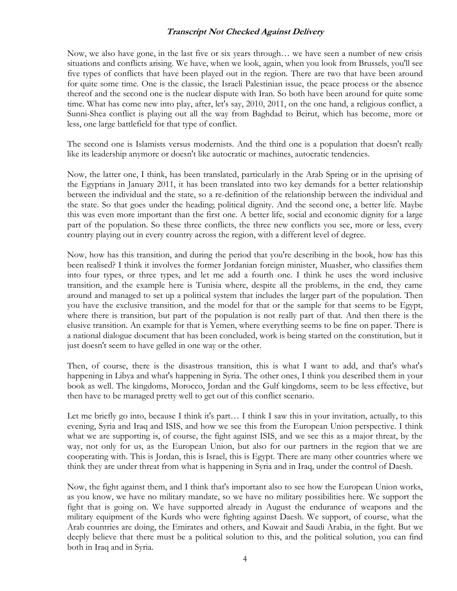Now, we also have gone, in the last five or six years through… we have seen a number of new crisis situations and conflicts arising. We have, when we look, again, when you look from Brussels, you'll see five types of conflicts that have been played out in the region. There are two that have been around for quite some time. One is the classic, the Israeli Palestinian issue, the peace process or the absence thereof and the second one is the nuclear dispute with Iran. So both have been around for quite some time. What has come new into play, after, let's say, 2010, 2011, on the one hand, a religious conflict, a Sunni-Shea conflict is playing out all the way from Baghdad to Beirut, which has become, more or less, one large battlefield for that type of conflict.

The second one is Islamists versus modernists. And the third one is a population that doesn't really like its leadership anymore or doesn't like autocratic or machines, autocratic tendencies.

Now, the latter one, I think, has been translated, particularly in the Arab Spring or in the uprising of the Egyptians in January 2011, it has been translated into two key demands for a better relationship between the individual and the state, so a re-definition of the relationship between the individual and the state. So that goes under the heading; political dignity. And the second one, a better life. Maybe this was even more important than the first one. A better life, social and economic dignity for a large part of the population. So these three conflicts, the three new conflicts you see, more or less, every country playing out in every country across the region, with a different level of degree.

Now, how has this transition, and during the period that you're describing in the book, how has this been realised? I think it involves the former Jordanian foreign minister, Muasher, who classifies them into four types, or three types, and let me add a fourth one. I think he uses the word inclusive transition, and the example here is Tunisia where, despite all the problems, in the end, they came around and managed to set up a political system that includes the larger part of the population. Then you have the exclusive transition, and the model for that or the sample for that seems to be Egypt, where there is transition, but part of the population is not really part of that. And then there is the elusive transition. An example for that is Yemen, where everything seems to be fine on paper. There is a national dialogue document that has been concluded, work is being started on the constitution, but it just doesn't seem to have gelled in one way or the other.

Then, of course, there is the disastrous transition, this is what I want to add, and that's what's happening in Libya and what's happening in Syria. The other ones, I think you described them in your book as well. The kingdoms, Morocco, Jordan and the Gulf kingdoms, seem to be less effective, but then have to be managed pretty well to get out of this conflict scenario.

Let me briefly go into, because I think it's part… I think I saw this in your invitation, actually, to this evening, Syria and Iraq and ISIS, and how we see this from the European Union perspective. I think what we are supporting is, of course, the fight against ISIS, and we see this as a major threat, by the way, not only for us, as the European Union, but also for our partners in the region that we are cooperating with. This is Jordan, this is Israel, this is Egypt. There are many other countries where we think they are under threat from what is happening in Syria and in Iraq, under the control of Daesh.

Now, the fight against them, and I think that's important also to see how the European Union works, as you know, we have no military mandate, so we have no military possibilities here. We support the fight that is going on. We have supported already in August the endurance of weapons and the military equipment of the Kurds who were fighting against Daesh. We support, of course, what the Arab countries are doing, the Emirates and others, and Kuwait and Saudi Arabia, in the fight. But we deeply believe that there must be a political solution to this, and the political solution, you can find both in Iraq and in Syria.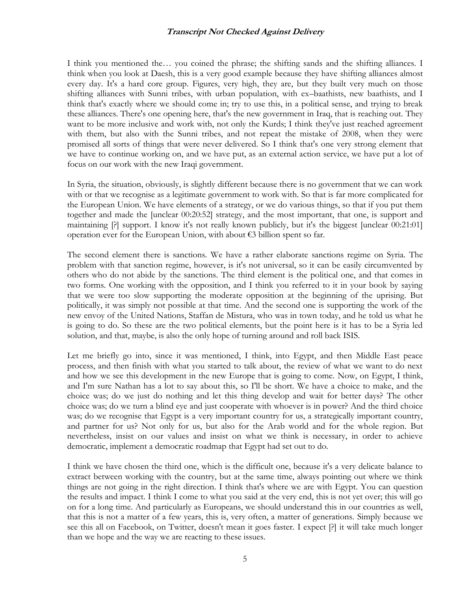I think you mentioned the… you coined the phrase; the shifting sands and the shifting alliances. I think when you look at Daesh, this is a very good example because they have shifting alliances almost every day. It's a hard core group. Figures, very high, they are, but they built very much on those shifting alliances with Sunni tribes, with urban population, with ex–baathists, new baathists, and I think that's exactly where we should come in; try to use this, in a political sense, and trying to break these alliances. There's one opening here, that's the new government in Iraq, that is reaching out. They want to be more inclusive and work with, not only the Kurds; I think they've just reached agreement with them, but also with the Sunni tribes, and not repeat the mistake of 2008, when they were promised all sorts of things that were never delivered. So I think that's one very strong element that we have to continue working on, and we have put, as an external action service, we have put a lot of focus on our work with the new Iraqi government.

In Syria, the situation, obviously, is slightly different because there is no government that we can work with or that we recognise as a legitimate government to work with. So that is far more complicated for the European Union. We have elements of a strategy, or we do various things, so that if you put them together and made the [unclear 00:20:52] strategy, and the most important, that one, is support and maintaining [?] support. I know it's not really known publicly, but it's the biggest [unclear 00:21:01] operation ever for the European Union, with about €3 billion spent so far.

The second element there is sanctions. We have a rather elaborate sanctions regime on Syria. The problem with that sanction regime, however, is it's not universal, so it can be easily circumvented by others who do not abide by the sanctions. The third element is the political one, and that comes in two forms. One working with the opposition, and I think you referred to it in your book by saying that we were too slow supporting the moderate opposition at the beginning of the uprising. But politically, it was simply not possible at that time. And the second one is supporting the work of the new envoy of the United Nations, Staffan de Mistura, who was in town today, and he told us what he is going to do. So these are the two political elements, but the point here is it has to be a Syria led solution, and that, maybe, is also the only hope of turning around and roll back ISIS.

Let me briefly go into, since it was mentioned, I think, into Egypt, and then Middle East peace process, and then finish with what you started to talk about, the review of what we want to do next and how we see this development in the new Europe that is going to come. Now, on Egypt, I think, and I'm sure Nathan has a lot to say about this, so I'll be short. We have a choice to make, and the choice was; do we just do nothing and let this thing develop and wait for better days? The other choice was; do we turn a blind eye and just cooperate with whoever is in power? And the third choice was; do we recognise that Egypt is a very important country for us, a strategically important country, and partner for us? Not only for us, but also for the Arab world and for the whole region. But nevertheless, insist on our values and insist on what we think is necessary, in order to achieve democratic, implement a democratic roadmap that Egypt had set out to do.

I think we have chosen the third one, which is the difficult one, because it's a very delicate balance to extract between working with the country, but at the same time, always pointing out where we think things are not going in the right direction. I think that's where we are with Egypt. You can question the results and impact. I think I come to what you said at the very end, this is not yet over; this will go on for a long time. And particularly as Europeans, we should understand this in our countries as well, that this is not a matter of a few years, this is, very often, a matter of generations. Simply because we see this all on Facebook, on Twitter, doesn't mean it goes faster. I expect [?] it will take much longer than we hope and the way we are reacting to these issues.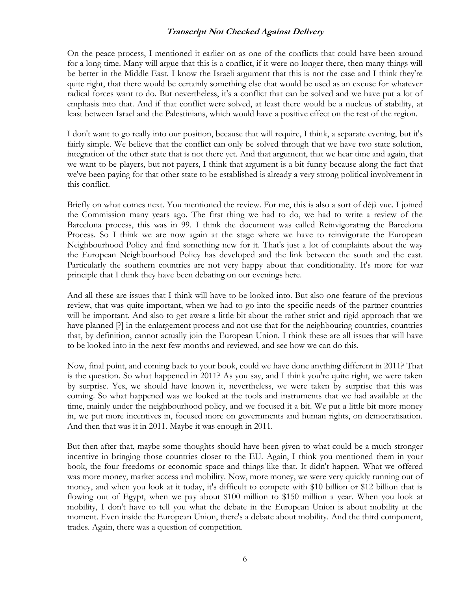On the peace process, I mentioned it earlier on as one of the conflicts that could have been around for a long time. Many will argue that this is a conflict, if it were no longer there, then many things will be better in the Middle East. I know the Israeli argument that this is not the case and I think they're quite right, that there would be certainly something else that would be used as an excuse for whatever radical forces want to do. But nevertheless, it's a conflict that can be solved and we have put a lot of emphasis into that. And if that conflict were solved, at least there would be a nucleus of stability, at least between Israel and the Palestinians, which would have a positive effect on the rest of the region.

I don't want to go really into our position, because that will require, I think, a separate evening, but it's fairly simple. We believe that the conflict can only be solved through that we have two state solution, integration of the other state that is not there yet. And that argument, that we hear time and again, that we want to be players, but not payers, I think that argument is a bit funny because along the fact that we've been paying for that other state to be established is already a very strong political involvement in this conflict.

Briefly on what comes next. You mentioned the review. For me, this is also a sort of déjà vue. I joined the Commission many years ago. The first thing we had to do, we had to write a review of the Barcelona process, this was in 99. I think the document was called Reinvigorating the Barcelona Process. So I think we are now again at the stage where we have to reinvigorate the European Neighbourhood Policy and find something new for it. That's just a lot of complaints about the way the European Neighbourhood Policy has developed and the link between the south and the east. Particularly the southern countries are not very happy about that conditionality. It's more for war principle that I think they have been debating on our evenings here.

And all these are issues that I think will have to be looked into. But also one feature of the previous review, that was quite important, when we had to go into the specific needs of the partner countries will be important. And also to get aware a little bit about the rather strict and rigid approach that we have planned [?] in the enlargement process and not use that for the neighbouring countries, countries that, by definition, cannot actually join the European Union. I think these are all issues that will have to be looked into in the next few months and reviewed, and see how we can do this.

Now, final point, and coming back to your book, could we have done anything different in 2011? That is the question. So what happened in 2011? As you say, and I think you're quite right, we were taken by surprise. Yes, we should have known it, nevertheless, we were taken by surprise that this was coming. So what happened was we looked at the tools and instruments that we had available at the time, mainly under the neighbourhood policy, and we focused it a bit. We put a little bit more money in, we put more incentives in, focused more on governments and human rights, on democratisation. And then that was it in 2011. Maybe it was enough in 2011.

But then after that, maybe some thoughts should have been given to what could be a much stronger incentive in bringing those countries closer to the EU. Again, I think you mentioned them in your book, the four freedoms or economic space and things like that. It didn't happen. What we offered was more money, market access and mobility. Now, more money, we were very quickly running out of money, and when you look at it today, it's difficult to compete with \$10 billion or \$12 billion that is flowing out of Egypt, when we pay about \$100 million to \$150 million a year. When you look at mobility, I don't have to tell you what the debate in the European Union is about mobility at the moment. Even inside the European Union, there's a debate about mobility. And the third component, trades. Again, there was a question of competition.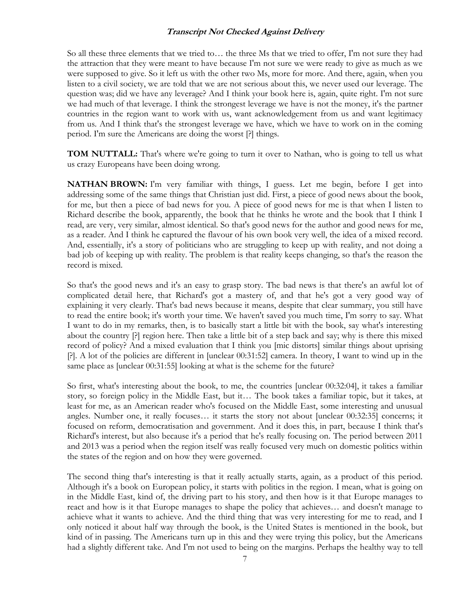So all these three elements that we tried to… the three Ms that we tried to offer, I'm not sure they had the attraction that they were meant to have because I'm not sure we were ready to give as much as we were supposed to give. So it left us with the other two Ms, more for more. And there, again, when you listen to a civil society, we are told that we are not serious about this, we never used our leverage. The question was; did we have any leverage? And I think your book here is, again, quite right. I'm not sure we had much of that leverage. I think the strongest leverage we have is not the money, it's the partner countries in the region want to work with us, want acknowledgement from us and want legitimacy from us. And I think that's the strongest leverage we have, which we have to work on in the coming period. I'm sure the Americans are doing the worst [?] things.

**TOM NUTTALL:** That's where we're going to turn it over to Nathan, who is going to tell us what us crazy Europeans have been doing wrong.

**NATHAN BROWN:** I'm very familiar with things, I guess. Let me begin, before I get into addressing some of the same things that Christian just did. First, a piece of good news about the book, for me, but then a piece of bad news for you. A piece of good news for me is that when I listen to Richard describe the book, apparently, the book that he thinks he wrote and the book that I think I read, are very, very similar, almost identical. So that's good news for the author and good news for me, as a reader. And I think he captured the flavour of his own book very well, the idea of a mixed record. And, essentially, it's a story of politicians who are struggling to keep up with reality, and not doing a bad job of keeping up with reality. The problem is that reality keeps changing, so that's the reason the record is mixed.

So that's the good news and it's an easy to grasp story. The bad news is that there's an awful lot of complicated detail here, that Richard's got a mastery of, and that he's got a very good way of explaining it very clearly. That's bad news because it means, despite that clear summary, you still have to read the entire book; it's worth your time. We haven't saved you much time, I'm sorry to say. What I want to do in my remarks, then, is to basically start a little bit with the book, say what's interesting about the country [?] region here. Then take a little bit of a step back and say; why is there this mixed record of policy? And a mixed evaluation that I think you [mic distorts] similar things about uprising [?]. A lot of the policies are different in [unclear 00:31:52] camera. In theory, I want to wind up in the same place as [unclear 00:31:55] looking at what is the scheme for the future?

So first, what's interesting about the book, to me, the countries [unclear 00:32:04], it takes a familiar story, so foreign policy in the Middle East, but it… The book takes a familiar topic, but it takes, at least for me, as an American reader who's focused on the Middle East, some interesting and unusual angles. Number one, it really focuses… it starts the story not about [unclear 00:32:35] concerns; it focused on reform, democratisation and government. And it does this, in part, because I think that's Richard's interest, but also because it's a period that he's really focusing on. The period between 2011 and 2013 was a period when the region itself was really focused very much on domestic politics within the states of the region and on how they were governed.

The second thing that's interesting is that it really actually starts, again, as a product of this period. Although it's a book on European policy, it starts with politics in the region. I mean, what is going on in the Middle East, kind of, the driving part to his story, and then how is it that Europe manages to react and how is it that Europe manages to shape the policy that achieves… and doesn't manage to achieve what it wants to achieve. And the third thing that was very interesting for me to read, and I only noticed it about half way through the book, is the United States is mentioned in the book, but kind of in passing. The Americans turn up in this and they were trying this policy, but the Americans had a slightly different take. And I'm not used to being on the margins. Perhaps the healthy way to tell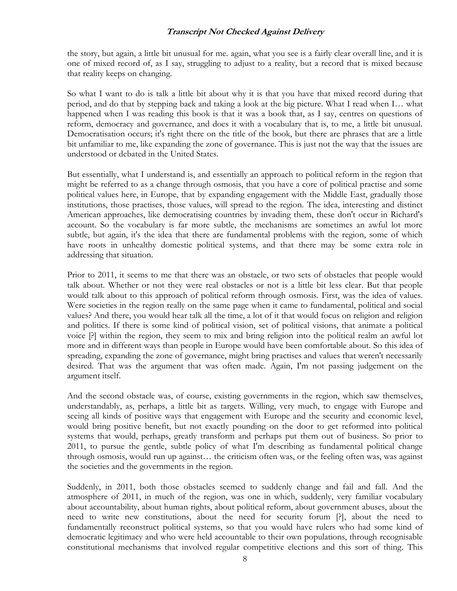the story, but again, a little bit unusual for me. again, what you see is a fairly clear overall line, and it is one of mixed record of, as I say, struggling to adjust to a reality, but a record that is mixed because that reality keeps on changing.

So what I want to do is talk a little bit about why it is that you have that mixed record during that period, and do that by stepping back and taking a look at the big picture. What I read when I… what happened when I was reading this book is that it was a book that, as I say, centres on questions of reform, democracy and governance, and does it with a vocabulary that is, to me, a little bit unusual. Democratisation occurs; it's right there on the title of the book, but there are phrases that are a little bit unfamiliar to me, like expanding the zone of governance. This is just not the way that the issues are understood or debated in the United States.

But essentially, what I understand is, and essentially an approach to political reform in the region that might be referred to as a change through osmosis, that you have a core of political practise and some political values here, in Europe, that by expanding engagement with the Middle East, gradually those institutions, those practises, those values, will spread to the region. The idea, interesting and distinct American approaches, like democratising countries by invading them, these don't occur in Richard's account. So the vocabulary is far more subtle, the mechanisms are sometimes an awful lot more subtle, but again, it's the idea that there are fundamental problems with the region, some of which have roots in unhealthy domestic political systems, and that there may be some extra role in addressing that situation.

Prior to 2011, it seems to me that there was an obstacle, or two sets of obstacles that people would talk about. Whether or not they were real obstacles or not is a little bit less clear. But that people would talk about to this approach of political reform through osmosis. First, was the idea of values. Were societies in the region really on the same page when it came to fundamental, political and social values? And there, you would hear talk all the time, a lot of it that would focus on religion and religion and politics. If there is some kind of political vision, set of political visions, that animate a political voice [?] within the region, they seem to mix and bring religion into the political realm an awful lot more and in different ways than people in Europe would have been comfortable about. So this idea of spreading, expanding the zone of governance, might bring practises and values that weren't necessarily desired. That was the argument that was often made. Again, I'm not passing judgement on the argument itself.

And the second obstacle was, of course, existing governments in the region, which saw themselves, understandably, as, perhaps, a little bit as targets. Willing, very much, to engage with Europe and seeing all kinds of positive ways that engagement with Europe and the security and economic level, would bring positive benefit, but not exactly pounding on the door to get reformed into political systems that would, perhaps, greatly transform and perhaps put them out of business. So prior to 2011, to pursue the gentle, subtle policy of what I'm describing as fundamental political change through osmosis, would run up against… the criticism often was, or the feeling often was, was against the societies and the governments in the region.

Suddenly, in 2011, both those obstacles seemed to suddenly change and fail and fall. And the atmosphere of 2011, in much of the region, was one in which, suddenly, very familiar vocabulary about accountability, about human rights, about political reform, about government abuses, about the need to write new constitutions, about the need for security forum [?], about the need to fundamentally reconstruct political systems, so that you would have rulers who had some kind of democratic legitimacy and who were held accountable to their own populations, through recognisable constitutional mechanisms that involved regular competitive elections and this sort of thing. This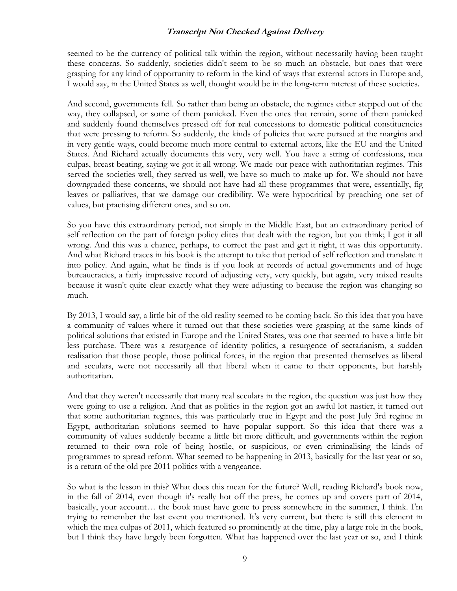seemed to be the currency of political talk within the region, without necessarily having been taught these concerns. So suddenly, societies didn't seem to be so much an obstacle, but ones that were grasping for any kind of opportunity to reform in the kind of ways that external actors in Europe and, I would say, in the United States as well, thought would be in the long-term interest of these societies.

And second, governments fell. So rather than being an obstacle, the regimes either stepped out of the way, they collapsed, or some of them panicked. Even the ones that remain, some of them panicked and suddenly found themselves pressed off for real concessions to domestic political constituencies that were pressing to reform. So suddenly, the kinds of policies that were pursued at the margins and in very gentle ways, could become much more central to external actors, like the EU and the United States. And Richard actually documents this very, very well. You have a string of confessions, mea culpas, breast beating, saying we got it all wrong. We made our peace with authoritarian regimes. This served the societies well, they served us well, we have so much to make up for. We should not have downgraded these concerns, we should not have had all these programmes that were, essentially, fig leaves or palliatives, that we damage our credibility. We were hypocritical by preaching one set of values, but practising different ones, and so on.

So you have this extraordinary period, not simply in the Middle East, but an extraordinary period of self reflection on the part of foreign policy elites that dealt with the region, but you think; I got it all wrong. And this was a chance, perhaps, to correct the past and get it right, it was this opportunity. And what Richard traces in his book is the attempt to take that period of self reflection and translate it into policy. And again, what he finds is if you look at records of actual governments and of huge bureaucracies, a fairly impressive record of adjusting very, very quickly, but again, very mixed results because it wasn't quite clear exactly what they were adjusting to because the region was changing so much.

By 2013, I would say, a little bit of the old reality seemed to be coming back. So this idea that you have a community of values where it turned out that these societies were grasping at the same kinds of political solutions that existed in Europe and the United States, was one that seemed to have a little bit less purchase. There was a resurgence of identity politics, a resurgence of sectarianism, a sudden realisation that those people, those political forces, in the region that presented themselves as liberal and seculars, were not necessarily all that liberal when it came to their opponents, but harshly authoritarian.

And that they weren't necessarily that many real seculars in the region, the question was just how they were going to use a religion. And that as politics in the region got an awful lot nastier, it turned out that some authoritarian regimes, this was particularly true in Egypt and the post July 3rd regime in Egypt, authoritarian solutions seemed to have popular support. So this idea that there was a community of values suddenly became a little bit more difficult, and governments within the region returned to their own role of being hostile, or suspicious, or even criminalising the kinds of programmes to spread reform. What seemed to be happening in 2013, basically for the last year or so, is a return of the old pre 2011 politics with a vengeance.

So what is the lesson in this? What does this mean for the future? Well, reading Richard's book now, in the fall of 2014, even though it's really hot off the press, he comes up and covers part of 2014, basically, your account… the book must have gone to press somewhere in the summer, I think. I'm trying to remember the last event you mentioned. It's very current, but there is still this element in which the mea culpas of 2011, which featured so prominently at the time, play a large role in the book, but I think they have largely been forgotten. What has happened over the last year or so, and I think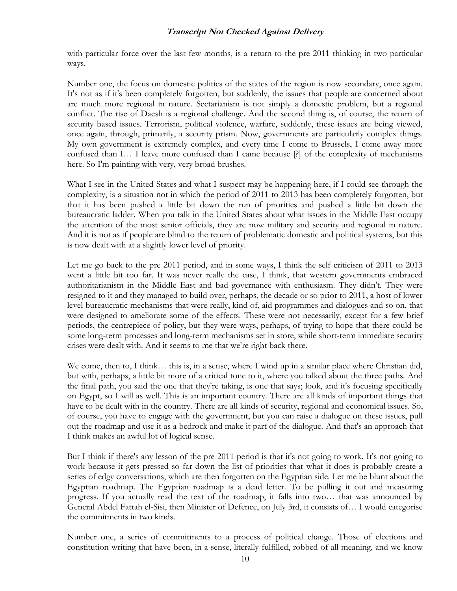with particular force over the last few months, is a return to the pre 2011 thinking in two particular ways.

Number one, the focus on domestic politics of the states of the region is now secondary, once again. It's not as if it's been completely forgotten, but suddenly, the issues that people are concerned about are much more regional in nature. Sectarianism is not simply a domestic problem, but a regional conflict. The rise of Daesh is a regional challenge. And the second thing is, of course, the return of security based issues. Terrorism, political violence, warfare, suddenly, these issues are being viewed, once again, through, primarily, a security prism. Now, governments are particularly complex things. My own government is extremely complex, and every time I come to Brussels, I come away more confused than I… I leave more confused than I came because [?] of the complexity of mechanisms here. So I'm painting with very, very broad brushes.

What I see in the United States and what I suspect may be happening here, if I could see through the complexity, is a situation not in which the period of 2011 to 2013 has been completely forgotten, but that it has been pushed a little bit down the run of priorities and pushed a little bit down the bureaucratic ladder. When you talk in the United States about what issues in the Middle East occupy the attention of the most senior officials, they are now military and security and regional in nature. And it is not as if people are blind to the return of problematic domestic and political systems, but this is now dealt with at a slightly lower level of priority.

Let me go back to the pre 2011 period, and in some ways, I think the self criticism of 2011 to 2013 went a little bit too far. It was never really the case, I think, that western governments embraced authoritarianism in the Middle East and bad governance with enthusiasm. They didn't. They were resigned to it and they managed to build over, perhaps, the decade or so prior to 2011, a host of lower level bureaucratic mechanisms that were really, kind of, aid programmes and dialogues and so on, that were designed to ameliorate some of the effects. These were not necessarily, except for a few brief periods, the centrepiece of policy, but they were ways, perhaps, of trying to hope that there could be some long-term processes and long-term mechanisms set in store, while short-term immediate security crises were dealt with. And it seems to me that we're right back there.

We come, then to, I think... this is, in a sense, where I wind up in a similar place where Christian did, but with, perhaps, a little bit more of a critical tone to it, where you talked about the three paths. And the final path, you said the one that they're taking, is one that says; look, and it's focusing specifically on Egypt, so I will as well. This is an important country. There are all kinds of important things that have to be dealt with in the country. There are all kinds of security, regional and economical issues. So, of course, you have to engage with the government, but you can raise a dialogue on these issues, pull out the roadmap and use it as a bedrock and make it part of the dialogue. And that's an approach that I think makes an awful lot of logical sense.

But I think if there's any lesson of the pre 2011 period is that it's not going to work. It's not going to work because it gets pressed so far down the list of priorities that what it does is probably create a series of edgy conversations, which are then forgotten on the Egyptian side. Let me be blunt about the Egyptian roadmap. The Egyptian roadmap is a dead letter. To be pulling it out and measuring progress. If you actually read the text of the roadmap, it falls into two… that was announced by General Abdel Fattah el-Sisi, then Minister of Defence, on July 3rd, it consists of… I would categorise the commitments in two kinds.

Number one, a series of commitments to a process of political change. Those of elections and constitution writing that have been, in a sense, literally fulfilled, robbed of all meaning, and we know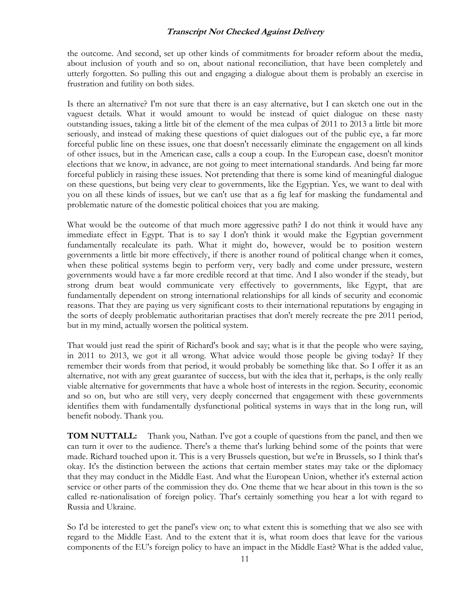the outcome. And second, set up other kinds of commitments for broader reform about the media, about inclusion of youth and so on, about national reconciliation, that have been completely and utterly forgotten. So pulling this out and engaging a dialogue about them is probably an exercise in frustration and futility on both sides.

Is there an alternative? I'm not sure that there is an easy alternative, but I can sketch one out in the vaguest details. What it would amount to would be instead of quiet dialogue on these nasty outstanding issues, taking a little bit of the element of the mea culpas of 2011 to 2013 a little bit more seriously, and instead of making these questions of quiet dialogues out of the public eye, a far more forceful public line on these issues, one that doesn't necessarily eliminate the engagement on all kinds of other issues, but in the American case, calls a coup a coup. In the European case, doesn't monitor elections that we know, in advance, are not going to meet international standards. And being far more forceful publicly in raising these issues. Not pretending that there is some kind of meaningful dialogue on these questions, but being very clear to governments, like the Egyptian. Yes, we want to deal with you on all these kinds of issues, but we can't use that as a fig leaf for masking the fundamental and problematic nature of the domestic political choices that you are making.

What would be the outcome of that much more aggressive path? I do not think it would have any immediate effect in Egypt. That is to say I don't think it would make the Egyptian government fundamentally recalculate its path. What it might do, however, would be to position western governments a little bit more effectively, if there is another round of political change when it comes, when these political systems begin to perform very, very badly and come under pressure, western governments would have a far more credible record at that time. And I also wonder if the steady, but strong drum beat would communicate very effectively to governments, like Egypt, that are fundamentally dependent on strong international relationships for all kinds of security and economic reasons. That they are paying us very significant costs to their international reputations by engaging in the sorts of deeply problematic authoritarian practises that don't merely recreate the pre 2011 period, but in my mind, actually worsen the political system.

That would just read the spirit of Richard's book and say; what is it that the people who were saying, in 2011 to 2013, we got it all wrong. What advice would those people be giving today? If they remember their words from that period, it would probably be something like that. So I offer it as an alternative, not with any great guarantee of success, but with the idea that it, perhaps, is the only really viable alternative for governments that have a whole host of interests in the region. Security, economic and so on, but who are still very, very deeply concerned that engagement with these governments identifies them with fundamentally dysfunctional political systems in ways that in the long run, will benefit nobody. Thank you.

**TOM NUTTALL:** Thank you, Nathan. I've got a couple of questions from the panel, and then we can turn it over to the audience. There's a theme that's lurking behind some of the points that were made. Richard touched upon it. This is a very Brussels question, but we're in Brussels, so I think that's okay. It's the distinction between the actions that certain member states may take or the diplomacy that they may conduct in the Middle East. And what the European Union, whether it's external action service or other parts of the commission they do. One theme that we hear about in this town is the so called re-nationalisation of foreign policy. That's certainly something you hear a lot with regard to Russia and Ukraine.

So I'd be interested to get the panel's view on; to what extent this is something that we also see with regard to the Middle East. And to the extent that it is, what room does that leave for the various components of the EU's foreign policy to have an impact in the Middle East? What is the added value,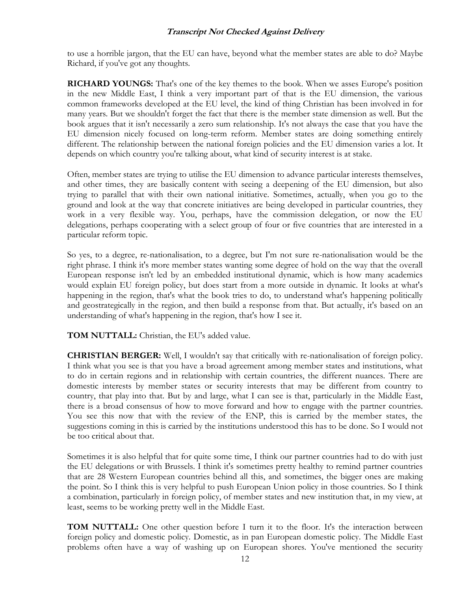to use a horrible jargon, that the EU can have, beyond what the member states are able to do? Maybe Richard, if you've got any thoughts.

**RICHARD YOUNGS:** That's one of the key themes to the book. When we asses Europe's position in the new Middle East, I think a very important part of that is the EU dimension, the various common frameworks developed at the EU level, the kind of thing Christian has been involved in for many years. But we shouldn't forget the fact that there is the member state dimension as well. But the book argues that it isn't necessarily a zero sum relationship. It's not always the case that you have the EU dimension nicely focused on long-term reform. Member states are doing something entirely different. The relationship between the national foreign policies and the EU dimension varies a lot. It depends on which country you're talking about, what kind of security interest is at stake.

Often, member states are trying to utilise the EU dimension to advance particular interests themselves, and other times, they are basically content with seeing a deepening of the EU dimension, but also trying to parallel that with their own national initiative. Sometimes, actually, when you go to the ground and look at the way that concrete initiatives are being developed in particular countries, they work in a very flexible way. You, perhaps, have the commission delegation, or now the EU delegations, perhaps cooperating with a select group of four or five countries that are interested in a particular reform topic.

So yes, to a degree, re-nationalisation, to a degree, but I'm not sure re-nationalisation would be the right phrase. I think it's more member states wanting some degree of hold on the way that the overall European response isn't led by an embedded institutional dynamic, which is how many academics would explain EU foreign policy, but does start from a more outside in dynamic. It looks at what's happening in the region, that's what the book tries to do, to understand what's happening politically and geostrategically in the region, and then build a response from that. But actually, it's based on an understanding of what's happening in the region, that's how I see it.

**TOM NUTTALL:** Christian, the EU's added value.

**CHRISTIAN BERGER:** Well, I wouldn't say that critically with re-nationalisation of foreign policy. I think what you see is that you have a broad agreement among member states and institutions, what to do in certain regions and in relationship with certain countries, the different nuances. There are domestic interests by member states or security interests that may be different from country to country, that play into that. But by and large, what I can see is that, particularly in the Middle East, there is a broad consensus of how to move forward and how to engage with the partner countries. You see this now that with the review of the ENP, this is carried by the member states, the suggestions coming in this is carried by the institutions understood this has to be done. So I would not be too critical about that.

Sometimes it is also helpful that for quite some time, I think our partner countries had to do with just the EU delegations or with Brussels. I think it's sometimes pretty healthy to remind partner countries that are 28 Western European countries behind all this, and sometimes, the bigger ones are making the point. So I think this is very helpful to push European Union policy in those countries. So I think a combination, particularly in foreign policy, of member states and new institution that, in my view, at least, seems to be working pretty well in the Middle East.

**TOM NUTTALL:** One other question before I turn it to the floor. It's the interaction between foreign policy and domestic policy. Domestic, as in pan European domestic policy. The Middle East problems often have a way of washing up on European shores. You've mentioned the security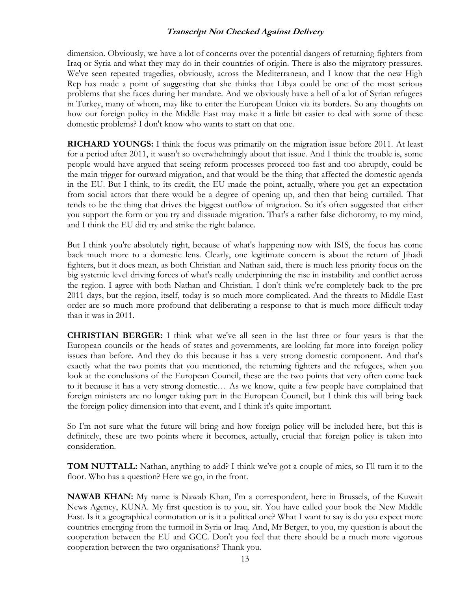dimension. Obviously, we have a lot of concerns over the potential dangers of returning fighters from Iraq or Syria and what they may do in their countries of origin. There is also the migratory pressures. We've seen repeated tragedies, obviously, across the Mediterranean, and I know that the new High Rep has made a point of suggesting that she thinks that Libya could be one of the most serious problems that she faces during her mandate. And we obviously have a hell of a lot of Syrian refugees in Turkey, many of whom, may like to enter the European Union via its borders. So any thoughts on how our foreign policy in the Middle East may make it a little bit easier to deal with some of these domestic problems? I don't know who wants to start on that one.

**RICHARD YOUNGS:** I think the focus was primarily on the migration issue before 2011. At least for a period after 2011, it wasn't so overwhelmingly about that issue. And I think the trouble is, some people would have argued that seeing reform processes proceed too fast and too abruptly, could be the main trigger for outward migration, and that would be the thing that affected the domestic agenda in the EU. But I think, to its credit, the EU made the point, actually, where you get an expectation from social actors that there would be a degree of opening up, and then that being curtailed. That tends to be the thing that drives the biggest outflow of migration. So it's often suggested that either you support the form or you try and dissuade migration. That's a rather false dichotomy, to my mind, and I think the EU did try and strike the right balance.

But I think you're absolutely right, because of what's happening now with ISIS, the focus has come back much more to a domestic lens. Clearly, one legitimate concern is about the return of Jihadi fighters, but it does mean, as both Christian and Nathan said, there is much less priority focus on the big systemic level driving forces of what's really underpinning the rise in instability and conflict across the region. I agree with both Nathan and Christian. I don't think we're completely back to the pre 2011 days, but the region, itself, today is so much more complicated. And the threats to Middle East order are so much more profound that deliberating a response to that is much more difficult today than it was in 2011.

**CHRISTIAN BERGER:** I think what we've all seen in the last three or four years is that the European councils or the heads of states and governments, are looking far more into foreign policy issues than before. And they do this because it has a very strong domestic component. And that's exactly what the two points that you mentioned, the returning fighters and the refugees, when you look at the conclusions of the European Council, these are the two points that very often come back to it because it has a very strong domestic… As we know, quite a few people have complained that foreign ministers are no longer taking part in the European Council, but I think this will bring back the foreign policy dimension into that event, and I think it's quite important.

So I'm not sure what the future will bring and how foreign policy will be included here, but this is definitely, these are two points where it becomes, actually, crucial that foreign policy is taken into consideration.

**TOM NUTTALL:** Nathan, anything to add? I think we've got a couple of mics, so I'll turn it to the floor. Who has a question? Here we go, in the front.

**NAWAB KHAN:** My name is Nawab Khan, I'm a correspondent, here in Brussels, of the Kuwait News Agency, KUNA. My first question is to you, sir. You have called your book the New Middle East. Is it a geographical connotation or is it a political one? What I want to say is do you expect more countries emerging from the turmoil in Syria or Iraq. And, Mr Berger, to you, my question is about the cooperation between the EU and GCC. Don't you feel that there should be a much more vigorous cooperation between the two organisations? Thank you.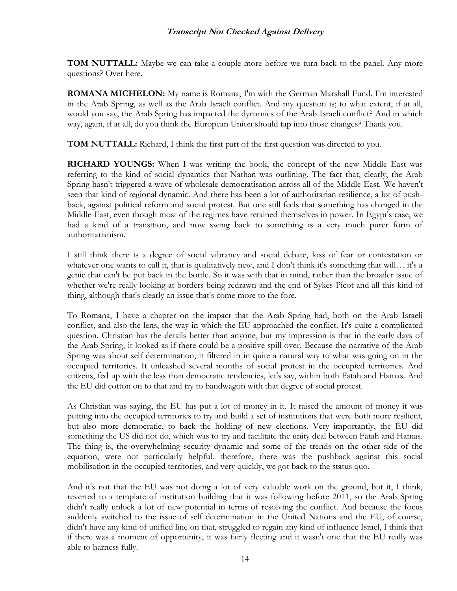**TOM NUTTALL:** Maybe we can take a couple more before we turn back to the panel. Any more questions? Over here.

**ROMANA MICHELON:** My name is Romana, I'm with the German Marshall Fund. I'm interested in the Arab Spring, as well as the Arab Israeli conflict. And my question is; to what extent, if at all, would you say, the Arab Spring has impacted the dynamics of the Arab Israeli conflict? And in which way, again, if at all, do you think the European Union should tap into those changes? Thank you.

**TOM NUTTALL:** Richard, I think the first part of the first question was directed to you.

**RICHARD YOUNGS:** When I was writing the book, the concept of the new Middle East was referring to the kind of social dynamics that Nathan was outlining. The fact that, clearly, the Arab Spring hasn't triggered a wave of wholesale democratisation across all of the Middle East. We haven't seen that kind of regional dynamic. And there has been a lot of authoritarian resilience, a lot of pushback, against political reform and social protest. But one still feels that something has changed in the Middle East, even though most of the regimes have retained themselves in power. In Egypt's case, we had a kind of a transition, and now swing back to something is a very much purer form of authoritarianism.

I still think there is a degree of social vibrancy and social debate, loss of fear or contestation or whatever one wants to call it, that is qualitatively new, and I don't think it's something that will... it's a genie that can't be put back in the bottle. So it was with that in mind, rather than the broader issue of whether we're really looking at borders being redrawn and the end of Sykes-Picot and all this kind of thing, although that's clearly an issue that's come more to the fore.

To Romana, I have a chapter on the impact that the Arab Spring had, both on the Arab Israeli conflict, and also the lens, the way in which the EU approached the conflict. It's quite a complicated question. Christian has the details better than anyone, but my impression is that in the early days of the Arab Spring, it looked as if there could be a positive spill over. Because the narrative of the Arab Spring was about self determination, it filtered in in quite a natural way to what was going on in the occupied territories. It unleashed several months of social protest in the occupied territories. And citizens, fed up with the less than democratic tendencies, let's say, within both Fatah and Hamas. And the EU did cotton on to that and try to bandwagon with that degree of social protest.

As Christian was saying, the EU has put a lot of money in it. It raised the amount of money it was putting into the occupied territories to try and build a set of institutions that were both more resilient, but also more democratic, to back the holding of new elections. Very importantly, the EU did something the US did not do, which was to try and facilitate the unity deal between Fatah and Hamas. The thing is, the overwhelming security dynamic and some of the trends on the other side of the equation, were not particularly helpful. therefore, there was the pushback against this social mobilisation in the occupied territories, and very quickly, we got back to the status quo.

And it's not that the EU was not doing a lot of very valuable work on the ground, but it, I think, reverted to a template of institution building that it was following before 2011, so the Arab Spring didn't really unlock a lot of new potential in terms of resolving the conflict. And because the focus suddenly switched to the issue of self determination in the United Nations and the EU, of course, didn't have any kind of unified line on that, struggled to regain any kind of influence Israel, I think that if there was a moment of opportunity, it was fairly fleeting and it wasn't one that the EU really was able to harness fully.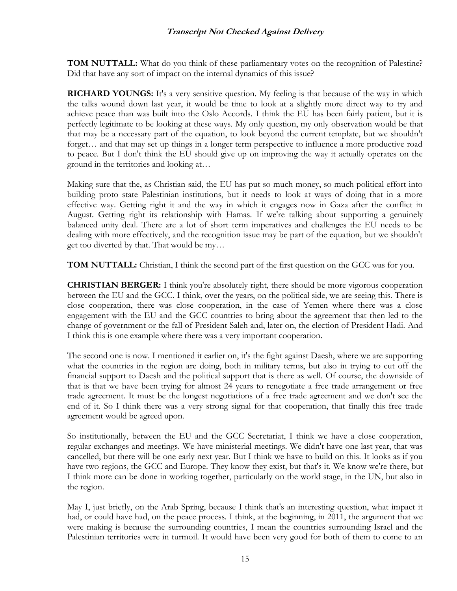**TOM NUTTALL:** What do you think of these parliamentary votes on the recognition of Palestine? Did that have any sort of impact on the internal dynamics of this issue?

**RICHARD YOUNGS:** It's a very sensitive question. My feeling is that because of the way in which the talks wound down last year, it would be time to look at a slightly more direct way to try and achieve peace than was built into the Oslo Accords. I think the EU has been fairly patient, but it is perfectly legitimate to be looking at these ways. My only question, my only observation would be that that may be a necessary part of the equation, to look beyond the current template, but we shouldn't forget… and that may set up things in a longer term perspective to influence a more productive road to peace. But I don't think the EU should give up on improving the way it actually operates on the ground in the territories and looking at…

Making sure that the, as Christian said, the EU has put so much money, so much political effort into building proto state Palestinian institutions, but it needs to look at ways of doing that in a more effective way. Getting right it and the way in which it engages now in Gaza after the conflict in August. Getting right its relationship with Hamas. If we're talking about supporting a genuinely balanced unity deal. There are a lot of short term imperatives and challenges the EU needs to be dealing with more effectively, and the recognition issue may be part of the equation, but we shouldn't get too diverted by that. That would be my…

**TOM NUTTALL:** Christian, I think the second part of the first question on the GCC was for you.

**CHRISTIAN BERGER:** I think you're absolutely right, there should be more vigorous cooperation between the EU and the GCC. I think, over the years, on the political side, we are seeing this. There is close cooperation, there was close cooperation, in the case of Yemen where there was a close engagement with the EU and the GCC countries to bring about the agreement that then led to the change of government or the fall of President Saleh and, later on, the election of President Hadi. And I think this is one example where there was a very important cooperation.

The second one is now. I mentioned it earlier on, it's the fight against Daesh, where we are supporting what the countries in the region are doing, both in military terms, but also in trying to cut off the financial support to Daesh and the political support that is there as well. Of course, the downside of that is that we have been trying for almost 24 years to renegotiate a free trade arrangement or free trade agreement. It must be the longest negotiations of a free trade agreement and we don't see the end of it. So I think there was a very strong signal for that cooperation, that finally this free trade agreement would be agreed upon.

So institutionally, between the EU and the GCC Secretariat, I think we have a close cooperation, regular exchanges and meetings. We have ministerial meetings. We didn't have one last year, that was cancelled, but there will be one early next year. But I think we have to build on this. It looks as if you have two regions, the GCC and Europe. They know they exist, but that's it. We know we're there, but I think more can be done in working together, particularly on the world stage, in the UN, but also in the region.

May I, just briefly, on the Arab Spring, because I think that's an interesting question, what impact it had, or could have had, on the peace process. I think, at the beginning, in 2011, the argument that we were making is because the surrounding countries, I mean the countries surrounding Israel and the Palestinian territories were in turmoil. It would have been very good for both of them to come to an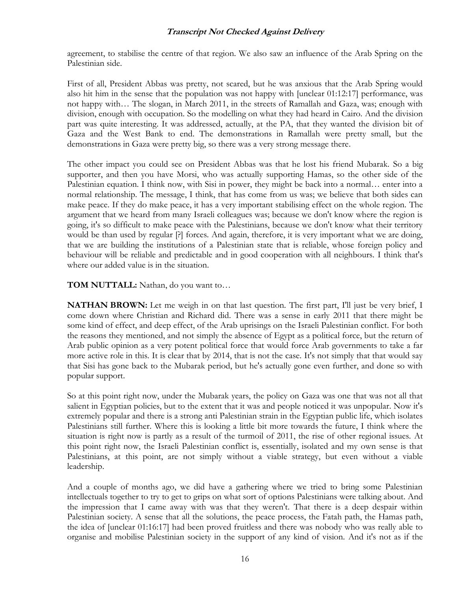agreement, to stabilise the centre of that region. We also saw an influence of the Arab Spring on the Palestinian side.

First of all, President Abbas was pretty, not scared, but he was anxious that the Arab Spring would also hit him in the sense that the population was not happy with [unclear 01:12:17] performance, was not happy with… The slogan, in March 2011, in the streets of Ramallah and Gaza, was; enough with division, enough with occupation. So the modelling on what they had heard in Cairo. And the division part was quite interesting. It was addressed, actually, at the PA, that they wanted the division bit of Gaza and the West Bank to end. The demonstrations in Ramallah were pretty small, but the demonstrations in Gaza were pretty big, so there was a very strong message there.

The other impact you could see on President Abbas was that he lost his friend Mubarak. So a big supporter, and then you have Morsi, who was actually supporting Hamas, so the other side of the Palestinian equation. I think now, with Sisi in power, they might be back into a normal… enter into a normal relationship. The message, I think, that has come from us was; we believe that both sides can make peace. If they do make peace, it has a very important stabilising effect on the whole region. The argument that we heard from many Israeli colleagues was; because we don't know where the region is going, it's so difficult to make peace with the Palestinians, because we don't know what their territory would be than used by regular [?] forces. And again, therefore, it is very important what we are doing, that we are building the institutions of a Palestinian state that is reliable, whose foreign policy and behaviour will be reliable and predictable and in good cooperation with all neighbours. I think that's where our added value is in the situation.

**TOM NUTTALL:** Nathan, do you want to…

**NATHAN BROWN:** Let me weigh in on that last question. The first part, I'll just be very brief, I come down where Christian and Richard did. There was a sense in early 2011 that there might be some kind of effect, and deep effect, of the Arab uprisings on the Israeli Palestinian conflict. For both the reasons they mentioned, and not simply the absence of Egypt as a political force, but the return of Arab public opinion as a very potent political force that would force Arab governments to take a far more active role in this. It is clear that by 2014, that is not the case. It's not simply that that would say that Sisi has gone back to the Mubarak period, but he's actually gone even further, and done so with popular support.

So at this point right now, under the Mubarak years, the policy on Gaza was one that was not all that salient in Egyptian policies, but to the extent that it was and people noticed it was unpopular. Now it's extremely popular and there is a strong anti Palestinian strain in the Egyptian public life, which isolates Palestinians still further. Where this is looking a little bit more towards the future, I think where the situation is right now is partly as a result of the turmoil of 2011, the rise of other regional issues. At this point right now, the Israeli Palestinian conflict is, essentially, isolated and my own sense is that Palestinians, at this point, are not simply without a viable strategy, but even without a viable leadership.

And a couple of months ago, we did have a gathering where we tried to bring some Palestinian intellectuals together to try to get to grips on what sort of options Palestinians were talking about. And the impression that I came away with was that they weren't. That there is a deep despair within Palestinian society. A sense that all the solutions, the peace process, the Fatah path, the Hamas path, the idea of [unclear 01:16:17] had been proved fruitless and there was nobody who was really able to organise and mobilise Palestinian society in the support of any kind of vision. And it's not as if the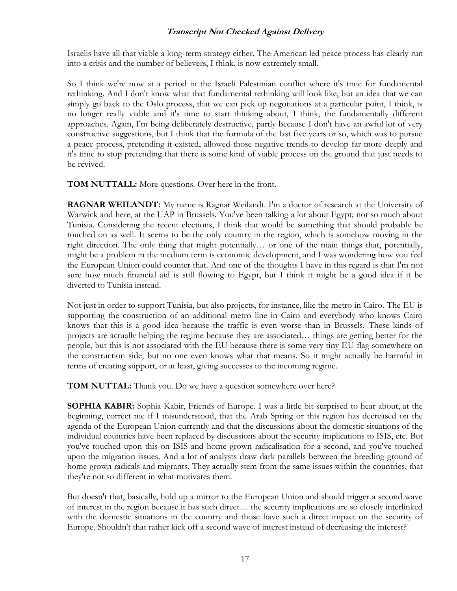Israelis have all that viable a long-term strategy either. The American led peace process has clearly run into a crisis and the number of believers, I think, is now extremely small.

So I think we're now at a period in the Israeli Palestinian conflict where it's time for fundamental rethinking. And I don't know what that fundamental rethinking will look like, but an idea that we can simply go back to the Oslo process, that we can pick up negotiations at a particular point, I think, is no longer really viable and it's time to start thinking about, I think, the fundamentally different approaches. Again, I'm being deliberately destructive, partly because I don't have an awful lot of very constructive suggestions, but I think that the formula of the last five years or so, which was to pursue a peace process, pretending it existed, allowed those negative trends to develop far more deeply and it's time to stop pretending that there is some kind of viable process on the ground that just needs to be revived.

**TOM NUTTALL:** More questions. Over here in the front.

**RAGNAR WEILANDT:** My name is Ragnar Weilandt. I'm a doctor of research at the University of Warwick and here, at the UAP in Brussels. You've been talking a lot about Egypt; not so much about Tunisia. Considering the recent elections, I think that would be something that should probably be touched on as well. It seems to be the only country in the region, which is somehow moving in the right direction. The only thing that might potentially… or one of the main things that, potentially, might be a problem in the medium term is economic development, and I was wondering how you feel the European Union could counter that. And one of the thoughts I have in this regard is that I'm not sure how much financial aid is still flowing to Egypt, but I think it might be a good idea if it be diverted to Tunisia instead.

Not just in order to support Tunisia, but also projects, for instance, like the metro in Cairo. The EU is supporting the construction of an additional metro line in Cairo and everybody who knows Cairo knows that this is a good idea because the traffic is even worse than in Brussels. These kinds of projects are actually helping the regime because they are associated… things are getting better for the people, but this is not associated with the EU because there is some very tiny EU flag somewhere on the construction side, but no one even knows what that means. So it might actually be harmful in terms of creating support, or at least, giving successes to the incoming regime.

**TOM NUTTAL:** Thank you. Do we have a question somewhere over here?

**SOPHIA KABIR:** Sophia Kabir, Friends of Europe. I was a little bit surprised to hear about, at the beginning, correct me if I misunderstood, that the Arab Spring or this region has decreased on the agenda of the European Union currently and that the discussions about the domestic situations of the individual countries have been replaced by discussions about the security implications to ISIS, etc. But you've touched upon this on ISIS and home grown radicalisation for a second, and you've touched upon the migration issues. And a lot of analysts draw dark parallels between the breeding ground of home grown radicals and migrants. They actually stem from the same issues within the countries, that they're not so different in what motivates them.

But doesn't that, basically, hold up a mirror to the European Union and should trigger a second wave of interest in the region because it has such direct… the security implications are so closely interlinked with the domestic situations in the country and those have such a direct impact on the security of Europe. Shouldn't that rather kick off a second wave of interest instead of decreasing the interest?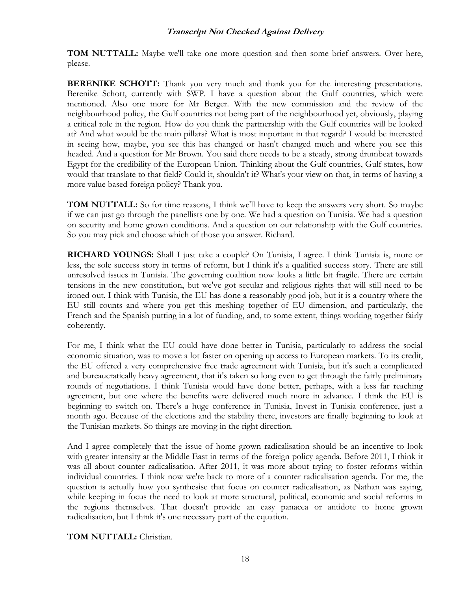**TOM NUTTALL:** Maybe we'll take one more question and then some brief answers. Over here, please.

**BERENIKE SCHOTT:** Thank you very much and thank you for the interesting presentations. Berenike Schott, currently with SWP. I have a question about the Gulf countries, which were mentioned. Also one more for Mr Berger. With the new commission and the review of the neighbourhood policy, the Gulf countries not being part of the neighbourhood yet, obviously, playing a critical role in the region. How do you think the partnership with the Gulf countries will be looked at? And what would be the main pillars? What is most important in that regard? I would be interested in seeing how, maybe, you see this has changed or hasn't changed much and where you see this headed. And a question for Mr Brown. You said there needs to be a steady, strong drumbeat towards Egypt for the credibility of the European Union. Thinking about the Gulf countries, Gulf states, how would that translate to that field? Could it, shouldn't it? What's your view on that, in terms of having a more value based foreign policy? Thank you.

**TOM NUTTALL:** So for time reasons, I think we'll have to keep the answers very short. So maybe if we can just go through the panellists one by one. We had a question on Tunisia. We had a question on security and home grown conditions. And a question on our relationship with the Gulf countries. So you may pick and choose which of those you answer. Richard.

**RICHARD YOUNGS:** Shall I just take a couple? On Tunisia, I agree. I think Tunisia is, more or less, the sole success story in terms of reform, but I think it's a qualified success story. There are still unresolved issues in Tunisia. The governing coalition now looks a little bit fragile. There are certain tensions in the new constitution, but we've got secular and religious rights that will still need to be ironed out. I think with Tunisia, the EU has done a reasonably good job, but it is a country where the EU still counts and where you get this meshing together of EU dimension, and particularly, the French and the Spanish putting in a lot of funding, and, to some extent, things working together fairly coherently.

For me, I think what the EU could have done better in Tunisia, particularly to address the social economic situation, was to move a lot faster on opening up access to European markets. To its credit, the EU offered a very comprehensive free trade agreement with Tunisia, but it's such a complicated and bureaucratically heavy agreement, that it's taken so long even to get through the fairly preliminary rounds of negotiations. I think Tunisia would have done better, perhaps, with a less far reaching agreement, but one where the benefits were delivered much more in advance. I think the EU is beginning to switch on. There's a huge conference in Tunisia, Invest in Tunisia conference, just a month ago. Because of the elections and the stability there, investors are finally beginning to look at the Tunisian markets. So things are moving in the right direction.

And I agree completely that the issue of home grown radicalisation should be an incentive to look with greater intensity at the Middle East in terms of the foreign policy agenda. Before 2011, I think it was all about counter radicalisation. After 2011, it was more about trying to foster reforms within individual countries. I think now we're back to more of a counter radicalisation agenda. For me, the question is actually how you synthesise that focus on counter radicalisation, as Nathan was saying, while keeping in focus the need to look at more structural, political, economic and social reforms in the regions themselves. That doesn't provide an easy panacea or antidote to home grown radicalisation, but I think it's one necessary part of the equation.

**TOM NUTTALL:** Christian.